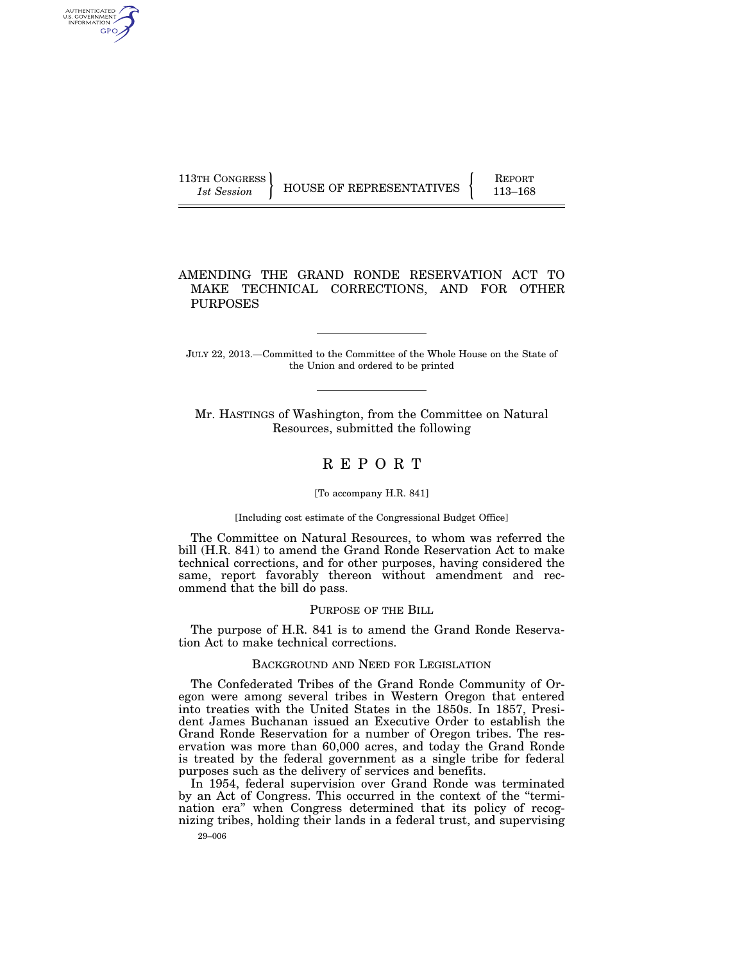AUTHENTICATED U.S. GOVERNMENT GPO

113TH CONGRESS HOUSE OF REPRESENTATIVES FEPORT 113-168

## AMENDING THE GRAND RONDE RESERVATION ACT TO MAKE TECHNICAL CORRECTIONS, AND FOR OTHER PURPOSES

JULY 22, 2013.—Committed to the Committee of the Whole House on the State of the Union and ordered to be printed

Mr. HASTINGS of Washington, from the Committee on Natural Resources, submitted the following

# R E P O R T

### [To accompany H.R. 841]

#### [Including cost estimate of the Congressional Budget Office]

The Committee on Natural Resources, to whom was referred the bill (H.R. 841) to amend the Grand Ronde Reservation Act to make technical corrections, and for other purposes, having considered the same, report favorably thereon without amendment and recommend that the bill do pass.

#### PURPOSE OF THE BILL

The purpose of H.R. 841 is to amend the Grand Ronde Reservation Act to make technical corrections.

## BACKGROUND AND NEED FOR LEGISLATION

The Confederated Tribes of the Grand Ronde Community of Oregon were among several tribes in Western Oregon that entered into treaties with the United States in the 1850s. In 1857, President James Buchanan issued an Executive Order to establish the Grand Ronde Reservation for a number of Oregon tribes. The reservation was more than 60,000 acres, and today the Grand Ronde is treated by the federal government as a single tribe for federal purposes such as the delivery of services and benefits.

In 1954, federal supervision over Grand Ronde was terminated by an Act of Congress. This occurred in the context of the ''termination era'' when Congress determined that its policy of recognizing tribes, holding their lands in a federal trust, and supervising

29–006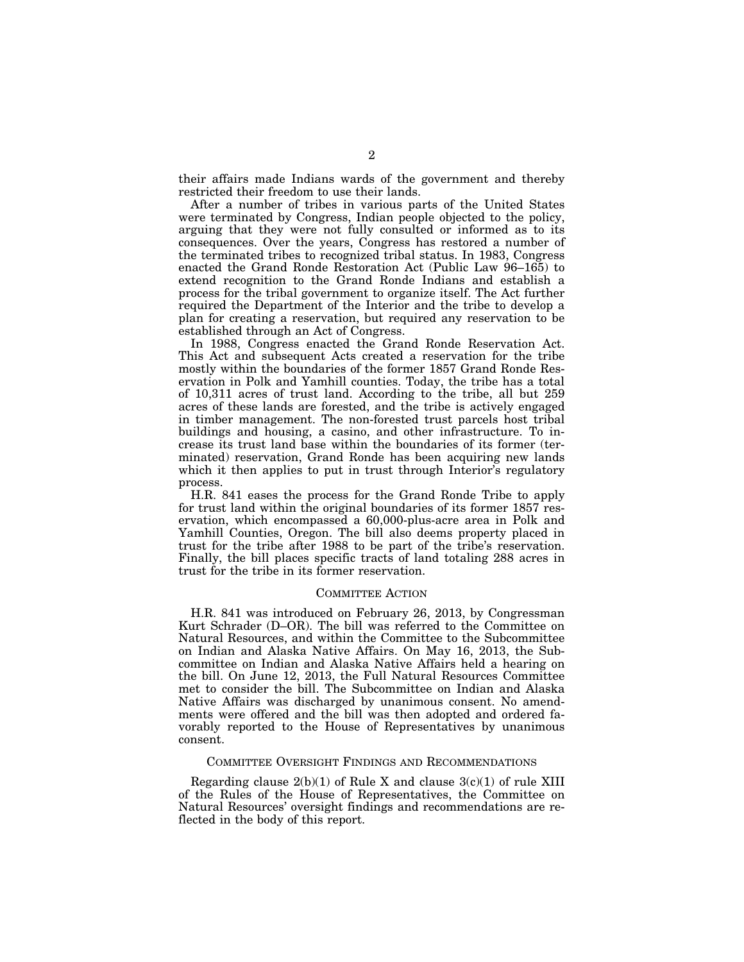their affairs made Indians wards of the government and thereby restricted their freedom to use their lands.

After a number of tribes in various parts of the United States were terminated by Congress, Indian people objected to the policy, arguing that they were not fully consulted or informed as to its consequences. Over the years, Congress has restored a number of the terminated tribes to recognized tribal status. In 1983, Congress enacted the Grand Ronde Restoration Act (Public Law 96–165) to extend recognition to the Grand Ronde Indians and establish a process for the tribal government to organize itself. The Act further required the Department of the Interior and the tribe to develop a plan for creating a reservation, but required any reservation to be established through an Act of Congress.

In 1988, Congress enacted the Grand Ronde Reservation Act. This Act and subsequent Acts created a reservation for the tribe mostly within the boundaries of the former 1857 Grand Ronde Reservation in Polk and Yamhill counties. Today, the tribe has a total of 10,311 acres of trust land. According to the tribe, all but 259 acres of these lands are forested, and the tribe is actively engaged in timber management. The non-forested trust parcels host tribal buildings and housing, a casino, and other infrastructure. To increase its trust land base within the boundaries of its former (terminated) reservation, Grand Ronde has been acquiring new lands which it then applies to put in trust through Interior's regulatory process.

H.R. 841 eases the process for the Grand Ronde Tribe to apply for trust land within the original boundaries of its former 1857 reservation, which encompassed a 60,000-plus-acre area in Polk and Yamhill Counties, Oregon. The bill also deems property placed in trust for the tribe after 1988 to be part of the tribe's reservation. Finally, the bill places specific tracts of land totaling 288 acres in trust for the tribe in its former reservation.

#### COMMITTEE ACTION

H.R. 841 was introduced on February 26, 2013, by Congressman Kurt Schrader (D–OR). The bill was referred to the Committee on Natural Resources, and within the Committee to the Subcommittee on Indian and Alaska Native Affairs. On May 16, 2013, the Subcommittee on Indian and Alaska Native Affairs held a hearing on the bill. On June 12, 2013, the Full Natural Resources Committee met to consider the bill. The Subcommittee on Indian and Alaska Native Affairs was discharged by unanimous consent. No amendments were offered and the bill was then adopted and ordered favorably reported to the House of Representatives by unanimous consent.

## COMMITTEE OVERSIGHT FINDINGS AND RECOMMENDATIONS

Regarding clause  $2(b)(1)$  of Rule X and clause  $3(c)(1)$  of rule XIII of the Rules of the House of Representatives, the Committee on Natural Resources' oversight findings and recommendations are reflected in the body of this report.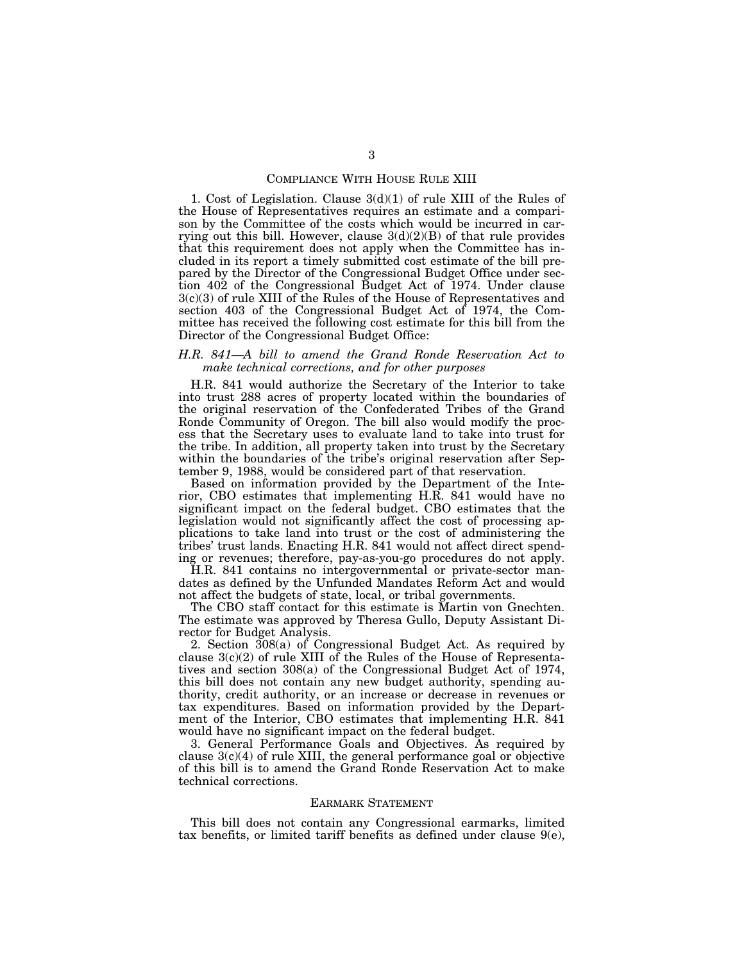## COMPLIANCE WITH HOUSE RULE XIII

1. Cost of Legislation. Clause 3(d)(1) of rule XIII of the Rules of the House of Representatives requires an estimate and a comparison by the Committee of the costs which would be incurred in carrying out this bill. However, clause  $3(d)(2)(B)$  of that rule provides that this requirement does not apply when the Committee has included in its report a timely submitted cost estimate of the bill prepared by the Director of the Congressional Budget Office under section 402 of the Congressional Budget Act of 1974. Under clause 3(c)(3) of rule XIII of the Rules of the House of Representatives and section 403 of the Congressional Budget Act of 1974, the Committee has received the following cost estimate for this bill from the Director of the Congressional Budget Office:

## *H.R. 841—A bill to amend the Grand Ronde Reservation Act to make technical corrections, and for other purposes*

H.R. 841 would authorize the Secretary of the Interior to take into trust 288 acres of property located within the boundaries of the original reservation of the Confederated Tribes of the Grand Ronde Community of Oregon. The bill also would modify the process that the Secretary uses to evaluate land to take into trust for the tribe. In addition, all property taken into trust by the Secretary within the boundaries of the tribe's original reservation after September 9, 1988, would be considered part of that reservation.

Based on information provided by the Department of the Interior, CBO estimates that implementing H.R. 841 would have no significant impact on the federal budget. CBO estimates that the legislation would not significantly affect the cost of processing applications to take land into trust or the cost of administering the tribes' trust lands. Enacting H.R. 841 would not affect direct spending or revenues; therefore, pay-as-you-go procedures do not apply.

H.R. 841 contains no intergovernmental or private-sector mandates as defined by the Unfunded Mandates Reform Act and would not affect the budgets of state, local, or tribal governments.

The CBO staff contact for this estimate is Martin von Gnechten. The estimate was approved by Theresa Gullo, Deputy Assistant Director for Budget Analysis.

2. Section 308(a) of Congressional Budget Act. As required by clause  $3(c)(2)$  of rule XIII of the Rules of the House of Representatives and section 308(a) of the Congressional Budget Act of 1974, this bill does not contain any new budget authority, spending authority, credit authority, or an increase or decrease in revenues or tax expenditures. Based on information provided by the Department of the Interior, CBO estimates that implementing H.R. 841 would have no significant impact on the federal budget.

3. General Performance Goals and Objectives. As required by clause  $3(c)(4)$  of rule XIII, the general performance goal or objective of this bill is to amend the Grand Ronde Reservation Act to make technical corrections.

## EARMARK STATEMENT

This bill does not contain any Congressional earmarks, limited tax benefits, or limited tariff benefits as defined under clause 9(e),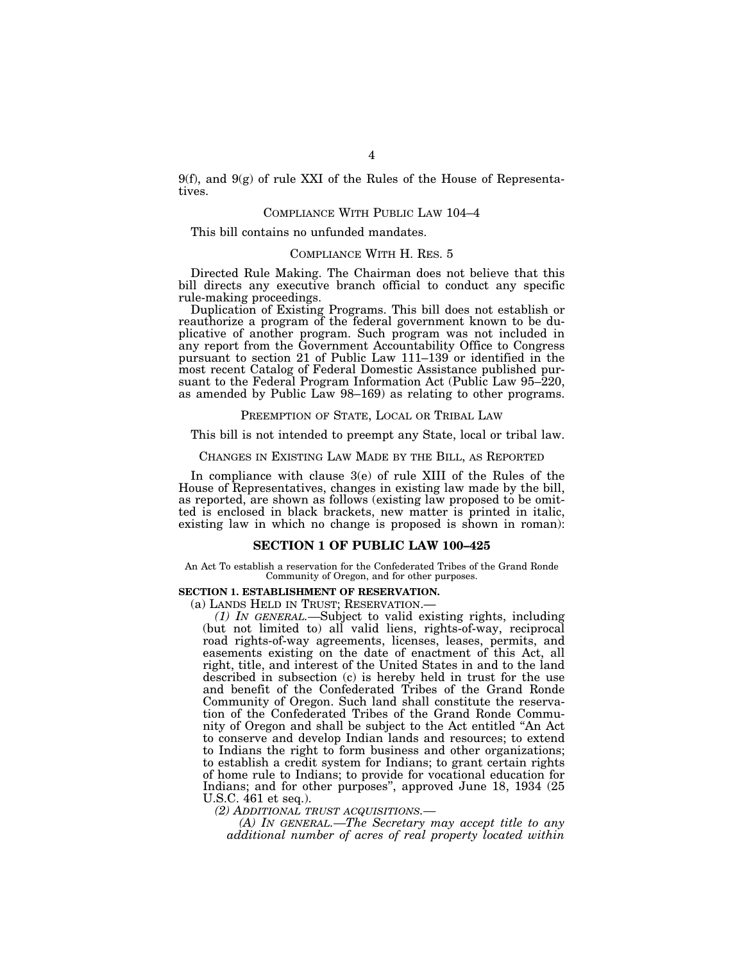9(f), and  $9(g)$  of rule XXI of the Rules of the House of Representatives.

## COMPLIANCE WITH PUBLIC LAW 104–4

This bill contains no unfunded mandates.

## COMPLIANCE WITH H. RES. 5

Directed Rule Making. The Chairman does not believe that this bill directs any executive branch official to conduct any specific rule-making proceedings.

Duplication of Existing Programs. This bill does not establish or reauthorize a program of the federal government known to be duplicative of another program. Such program was not included in any report from the Government Accountability Office to Congress pursuant to section 21 of Public Law 111–139 or identified in the most recent Catalog of Federal Domestic Assistance published pursuant to the Federal Program Information Act (Public Law 95–220, as amended by Public Law 98–169) as relating to other programs.

### PREEMPTION OF STATE, LOCAL OR TRIBAL LAW

This bill is not intended to preempt any State, local or tribal law.

### CHANGES IN EXISTING LAW MADE BY THE BILL, AS REPORTED

In compliance with clause 3(e) of rule XIII of the Rules of the House of Representatives, changes in existing law made by the bill, as reported, are shown as follows (existing law proposed to be omitted is enclosed in black brackets, new matter is printed in italic, existing law in which no change is proposed is shown in roman):

## **SECTION 1 OF PUBLIC LAW 100–425**

An Act To establish a reservation for the Confederated Tribes of the Grand Ronde Community of Oregon, and for other purposes.

## **SECTION 1. ESTABLISHMENT OF RESERVATION.**

(a) LANDS HELD IN TRUST; RESERVATION.— *(1) IN GENERAL.—*Subject to valid existing rights, including (but not limited to) all valid liens, rights-of-way, reciprocal road rights-of-way agreements, licenses, leases, permits, and easements existing on the date of enactment of this Act, all right, title, and interest of the United States in and to the land described in subsection (c) is hereby held in trust for the use and benefit of the Confederated Tribes of the Grand Ronde Community of Oregon. Such land shall constitute the reservation of the Confederated Tribes of the Grand Ronde Community of Oregon and shall be subject to the Act entitled ''An Act to conserve and develop Indian lands and resources; to extend to Indians the right to form business and other organizations; to establish a credit system for Indians; to grant certain rights of home rule to Indians; to provide for vocational education for Indians; and for other purposes'', approved June 18, 1934 (25 U.S.C. 461 et seq.).

*(2) ADDITIONAL TRUST ACQUISITIONS.—* 

*(A) IN GENERAL.—The Secretary may accept title to any additional number of acres of real property located within*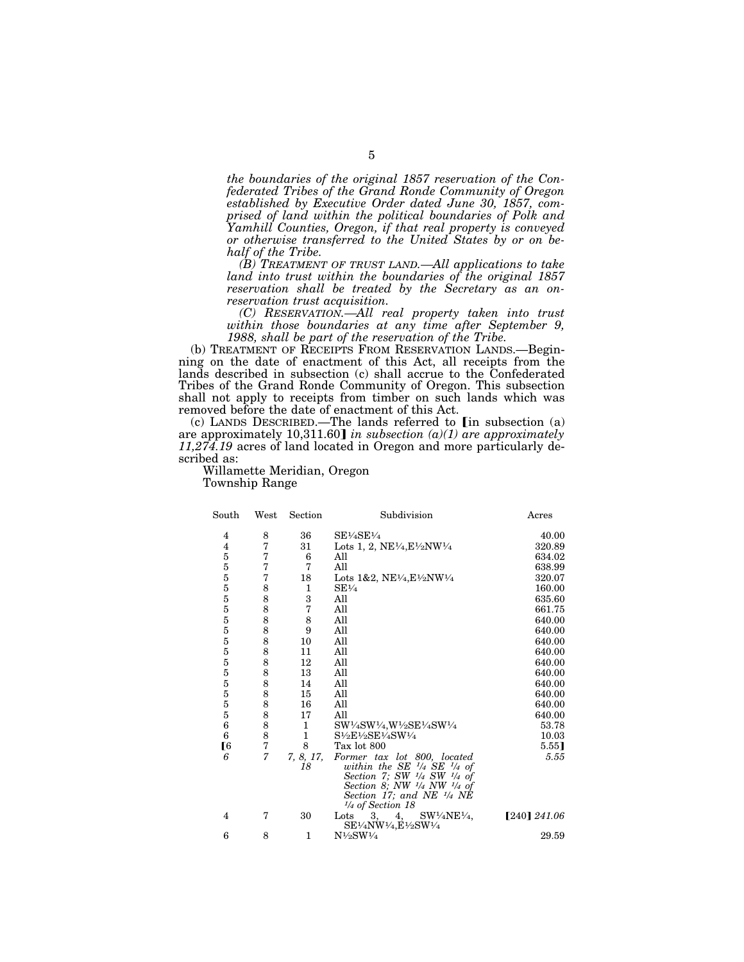*the boundaries of the original 1857 reservation of the Confederated Tribes of the Grand Ronde Community of Oregon established by Executive Order dated June 30, 1857, comprised of land within the political boundaries of Polk and Yamhill Counties, Oregon, if that real property is conveyed or otherwise transferred to the United States by or on behalf of the Tribe.* 

*(B) TREATMENT OF TRUST LAND.—All applications to take land into trust within the boundaries of the original 1857 reservation shall be treated by the Secretary as an onreservation trust acquisition.* 

*(C) RESERVATION.—All real property taken into trust within those boundaries at any time after September 9, 1988, shall be part of the reservation of the Tribe.* 

(b) TREATMENT OF RECEIPTS FROM RESERVATION LANDS.—Beginning on the date of enactment of this Act, all receipts from the lands described in subsection (c) shall accrue to the Confederated Tribes of the Grand Ronde Community of Oregon. This subsection shall not apply to receipts from timber on such lands which was removed before the date of enactment of this Act.

(c) LANDS DESCRIBED.—The lands referred to  $\left[$ in subsection (a) are approximately 10,311.60] in subsection (a)(1) are approximately *11,274.19* acres of land located in Oregon and more particularly described as:

Willamette Meridian, Oregon Township Range

| South            | West | Section      | Subdivision                                                                                                                                                                                                                 | Acres          |
|------------------|------|--------------|-----------------------------------------------------------------------------------------------------------------------------------------------------------------------------------------------------------------------------|----------------|
| 4                | 8    | 36           | $SE\frac{1}{4}SE\frac{1}{4}$                                                                                                                                                                                                | 40.00          |
| 4                | 7    | 31           | Lots 1, 2, NE $\frac{1}{4}$ , E $\frac{1}{2}$ NW $\frac{1}{4}$                                                                                                                                                              | 320.89         |
| $\overline{5}$   | 7    | 6            | All                                                                                                                                                                                                                         | 634.02         |
| $\overline{5}$   | 7    | 7            | All                                                                                                                                                                                                                         | 638.99         |
| $\overline{5}$   | 7    | 18           | Lots 1&2, NE $\frac{1}{4}$ , E $\frac{1}{2}$ NW $\frac{1}{4}$                                                                                                                                                               | 320.07         |
| $\overline{5}$   | 8    | 1            | $SE\frac{1}{4}$                                                                                                                                                                                                             | 160.00         |
| $\overline{5}$   | 8    | 3            | All                                                                                                                                                                                                                         | 635.60         |
| $\overline{5}$   | 8    | 7            | All                                                                                                                                                                                                                         | 661.75         |
| $\overline{5}$   | 8    | 8            | All                                                                                                                                                                                                                         | 640.00         |
| $\overline{5}$   | 8    | 9            | All                                                                                                                                                                                                                         | 640.00         |
| $\overline{5}$   | 8    | 10           | All                                                                                                                                                                                                                         | 640.00         |
| $\overline{5}$   | 8    | 11           | All                                                                                                                                                                                                                         | 640.00         |
| $\overline{5}$   | 8    | 12           | All                                                                                                                                                                                                                         | 640.00         |
| $\overline{5}$   | 8    | 13           | All                                                                                                                                                                                                                         | 640.00         |
| $\overline{5}$   | 8    | 14           | All                                                                                                                                                                                                                         | 640.00         |
| $\overline{5}$   | 8    | 15           | All                                                                                                                                                                                                                         | 640.00         |
| $\overline{5}$   | 8    | 16           | All                                                                                                                                                                                                                         | 640.00         |
| $\overline{5}$   | 8    | 17           | All                                                                                                                                                                                                                         | 640.00         |
| $\boldsymbol{6}$ | 8    | 1            | SW1/4SW1/4,W1/2SE1/4SW1/4                                                                                                                                                                                                   | 53.78          |
| 6                | 8    | $\mathbf{1}$ | $S\frac{1}{2}E\frac{1}{2}SE\frac{1}{4}SW\frac{1}{4}$                                                                                                                                                                        | 10.03          |
| [6               | 7    | 8            | Tax lot 800                                                                                                                                                                                                                 | 5.55]          |
| 6                | 7    | 7, 8, 17,    | Former tax lot 800, located                                                                                                                                                                                                 | 5.55           |
|                  |      | 18           | within the SE $\frac{1}{4}$ SE $\frac{1}{4}$ of<br>Section 7; SW $\frac{1}{4}$ SW $\frac{1}{4}$ of<br>Section 8; NW $\frac{1}{4}$ NW $\frac{1}{4}$ of<br>Section 17; and NE $\frac{1}{4}$ NE<br>$\frac{1}{4}$ of Section 18 |                |
| 4                | 7    | 30           | $SW\frac{1}{4}NE\frac{1}{4}$<br>3,<br>4,<br>Lots<br>SE1/4NW1/4,E1/2SW1/4                                                                                                                                                    | $[240]$ 241.06 |
| 6                | 8    | 1            | $N\frac{1}{2}SW\frac{1}{4}$                                                                                                                                                                                                 | 29.59          |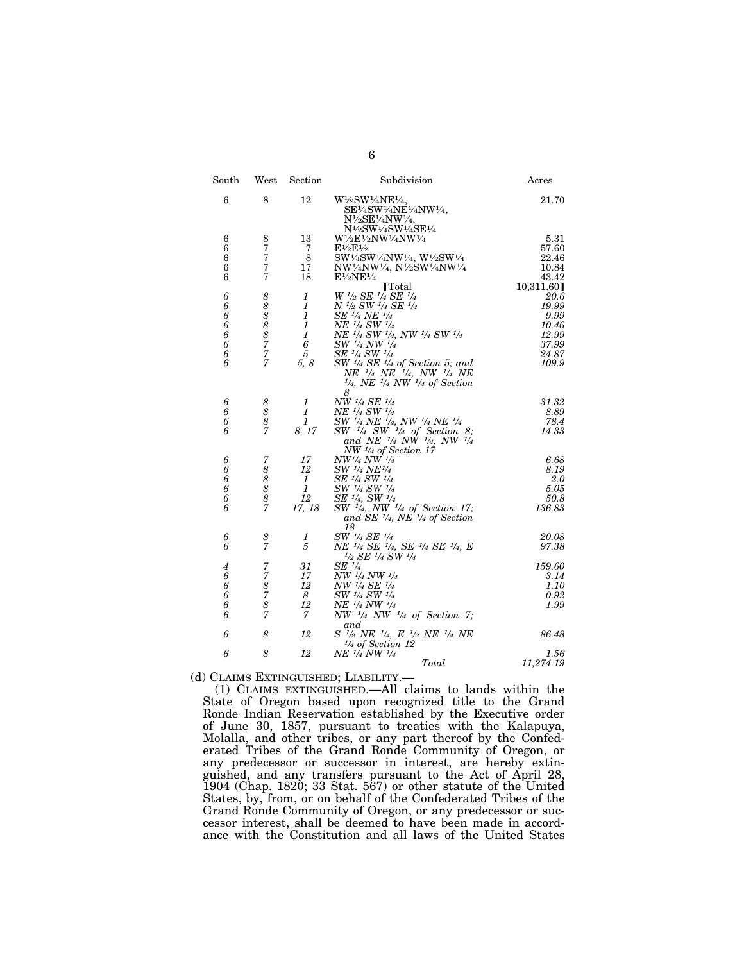| $_{\rm South}$   | West                | Section        | Subdivision                                                                                                                                             | Acres      |
|------------------|---------------------|----------------|---------------------------------------------------------------------------------------------------------------------------------------------------------|------------|
| $\boldsymbol{6}$ | 8                   | 12             | W1/2SW1/4NE1/4,<br>SE1/4SW1/4NE1/4NW1/4,<br>N1/2SE1/4NW1/4,                                                                                             | 21.70      |
| 6                | 8                   | 13             | N1/2SW1/4SW1/4SE1/4<br>W½E½NW½NW½                                                                                                                       | 5.31       |
| 6                | 7                   | 7              | $E\frac{1}{2}E\frac{1}{2}$                                                                                                                              | 57.60      |
| 6                | 7                   | 8              | SW1/4SW1/4NW1/4, W1/2SW1/4                                                                                                                              | 22.46      |
| 6                | 7                   | 17             | NW1/4NW1/4, N1/2SW1/4NW1/4                                                                                                                              | 10.84      |
| 6                | 7                   | 18             | $E\frac{1}{2}NE\frac{1}{4}$                                                                                                                             | 43.42      |
|                  |                     |                | <b>[Total]</b>                                                                                                                                          | 10,311.60] |
| 6                | 8                   | 1              | W 1/2 SE 1/4 SE 1/4                                                                                                                                     | 20.6       |
| 6                | 8                   | $\mathfrak{1}$ | N 1/2 SW 1/4 SE 1/4                                                                                                                                     | 19.99      |
| 6                | 8                   | 1              | SE <sup>1</sup> /4 NE <sup>1</sup> /4                                                                                                                   | 9.99       |
| 6                | 8                   | 1              | NE 1/4 SW 1/4                                                                                                                                           | 10.46      |
| 6                | 8                   | 1              | NE 1/4 SW 1/4, NW 1/4 SW 1/4                                                                                                                            | 12.99      |
| 6                | $\overline{7}$      | 6              | SW 1/4 NW 1/4                                                                                                                                           | 37.99      |
| 6<br>6           | 7<br>$\overline{7}$ | 5              | SE 1/4 SW 1/4                                                                                                                                           | 24.87      |
|                  |                     | 5, 8           | $SW$ <sup>1/4</sup> SE <sup>1</sup> /4 of Section 5; and<br>$NE^{-1/4}$ $NE^{-1/4}$ , $NW^{-1/4}$ $NE^{-1/4}$ , $NE^{-1/4}$ $NW^{-1/4}$ of Section<br>8 | 109.9      |
| 6                | 8                   | 1              | NW 1/4 SE 1/4                                                                                                                                           | 31.32      |
| 6                | 8                   | 1              | NE <sup>1</sup> /4 SW <sup>1</sup> /4                                                                                                                   | 8.89       |
| 6                | 8                   | 1              | SW <sup>1</sup> /4 NE <sup>1</sup> /4, NW <sup>1</sup> /4 NE <sup>1</sup> /4                                                                            | 78.4       |
| 6                | 7                   | 8, 17          | $SW$ $\frac{1}{4}SW$ $\frac{1}{4}$ of Section 8;<br>and NE $\frac{1}{4}$ NW $\frac{1}{4}$ , NW $\frac{1}{4}$<br>$NW \frac{1}{4}$ of Section 17          | 14.33      |
| 6                | 7                   | 17             | $NW^{1/4} NW^{1/4}$                                                                                                                                     | 6.68       |
| 6                | 8                   | 12             | <i>SW <sup>1</sup>/4 NE<sup>1</sup>/4</i>                                                                                                               | 8.19       |
| 6                | 8                   | 1              | SE 1/4 SW 1/4                                                                                                                                           | 2.0        |
| 6                | 8                   | $\mathbf{1}$   | SW 1/4 SW 1/4                                                                                                                                           | 5.05       |
| 6                | 8                   | 12             | SE $\frac{1}{4}$ , SW $\frac{1}{4}$                                                                                                                     | 50.8       |
| 6                | $\overline{7}$      | 17, 18         | $SW$ $\frac{1}{4}$ , NW $\frac{1}{4}$ of Section 17;<br>and SE 1/4, NE 1/4 of Section<br>18                                                             | 136.83     |
| 6                | 8                   | 1              | SW 1/4 SE 1/4                                                                                                                                           | 20.08      |
| 6                | 7                   | 5              | NE 1/4 SE 1/4, SE 1/4 SE 1/4, E<br>$1/2$ SE $1/4$ SW $1/4$                                                                                              | 97.38      |
| $\boldsymbol{4}$ | 7                   | 31             | $SE$ <sup><math>1/4</math></sup>                                                                                                                        | 159.60     |
| 6                | 7                   | 17             | NW 1/4 NW 1/4                                                                                                                                           | 3.14       |
| 6                | 8                   | 12             | NW 1/4 SE 1/4                                                                                                                                           | 1.10       |
| 6                | $\overline{7}$      | 8              | SW 1/4 SW 1/4                                                                                                                                           | 0.92       |
| 6                | 8                   | 12             | $N\!E$ $^{1}\!/\!$ $4$ $N\!W$ $^{1}\!/\!$                                                                                                               | 1.99       |
| 6                | 7                   | 7              | NW $\frac{1}{4}$ NW $\frac{1}{4}$ of Section 7;<br>and                                                                                                  |            |
| 6                | 8                   | 12             | S <sup>1/2</sup> NE <sup>1</sup> /4, E <sup>1</sup> /2 NE <sup>1</sup> /4 NE<br>$\frac{1}{4}$ of Section 12                                             | 86.48      |
| 6                | 8                   | 12             | NE <sup>1/4</sup> NW <sup>1/4</sup>                                                                                                                     | 1.56       |
|                  |                     |                | Total                                                                                                                                                   | 11,274.19  |

(d) CLAIMS EXTINGUISHED; LIABILITY.—

(1) CLAIMS EXTINGUISHED.—All claims to lands within the State of Oregon based upon recognized title to the Grand Ronde Indian Reservation established by the Executive order of June 30, 1857, pursuant to treaties with the Kalapuya, Molalla, and other tribes, or any part thereof by the Confederated Tribes of the Grand Ronde Community of Oregon, or any predecessor or successor in interest, are hereby extinguished, and any transfers pursuant to the Act of April 28, 1904 (Chap. 1820; 33 Stat. 567) or other statute of the United States, by, from, or on behalf of the Confederated Tribes of the Grand Ronde Community of Oregon, or any predecessor or successor interest, shall be deemed to have been made in accordance with the Constitution and all laws of the United States